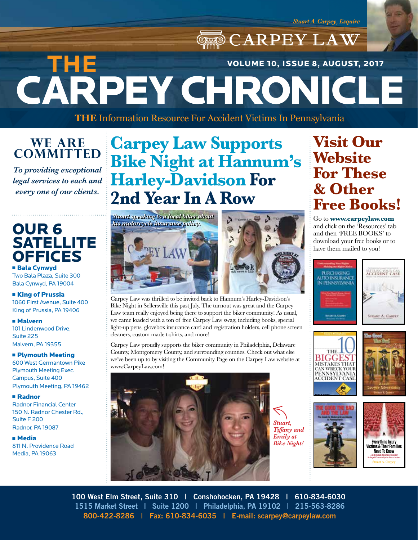**CARPEY LAW** CARPEY CHRONICLE **THE**  VOLUME 10, ISSUE 8, AUGUST, 2017

**THE** Information Resource For Accident Victims In Pennsylvania

### **WE ARE COMMITTED**

*To providing exceptional legal services to each and every one of our clients.*

### OUR 6 **SATELLITE OFFICES**

**Bala Cynwyd** Two Bala Plaza, Suite 300 Bala Cynwyd, PA 19004

#### **Example 1 King of Prussia** 1060 First Avenue, Suite 400 King of Prussia, PA 19406

<sup>n</sup> Malvern 101 Lindenwood Drive, Suite 225 Malvern, PA 19355

#### **n Plymouth Meeting** 600 West Germantown Pike Plymouth Meeting Exec. Campus, Suite 400 Plymouth Meeting, PA 19462

<sup>n</sup> Radnor Radnor Financial Center 150 N. Radnor Chester Rd., Suite F 200 Radnor, PA 19087

<sup>n</sup> Media 811 N. Providence Road Media, PA 19063

# **Carpey Law Supports Bike Night at Hannum's Harley-Davidson For 2nd Year In A Row**





Carpey Law was thrilled to be invited back to Hannum's Harley-Davidson's Bike Night in Sellersville this past July. The turnout was great and the Carpey Law team really enjoyed being there to support the biker community! As usual, we came loaded with a ton of free Carpey Law swag, including books, special light-up pens, glovebox insurance card and registration holders, cell phone screen cleaners, custom made t-shirts, and more!

Carpey Law proudly supports the biker community in Philadelphia, Delaware County, Montgomery County, and surrounding counties. Check out what else we've been up to by visiting the Community Page on the Carpey Law website at www.CarpeyLaw.com!



*Stuart, Tiffany and Emily at Bike Night!*

## **Visit Our Website For These & Other Free Books!**

Go to **www.carpeylaw.com**  and click on the 'Resources' tab and then 'FREE BOOKS' to download your free books or to have them mailed to you!













**100 West Elm Street, Suite 310 | Conshohocken, PA 19428 | 610-834-6030 1515 Market Street | Suite 1200 | Philadelphia, PA 19102 | 215-563-8286 800-422-8286 | Fax: 610-834-6035 | E-mail: scarpey@carpeylaw.com**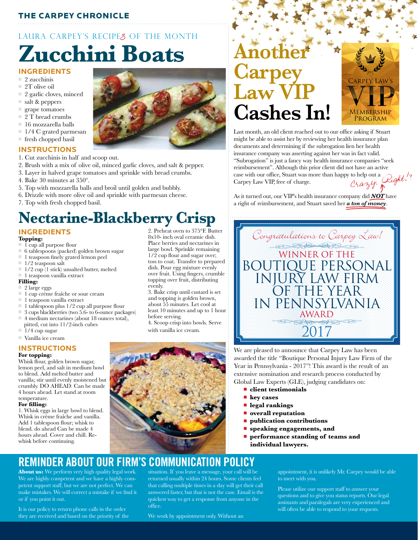#### THE CARPEY CHRONICLE

## LAURA CARPEY'S RECIPES OF THE MONTH **Zucchini Boats**

#### **INGREDIENTS**

- $\Box$  2 zucchinis
- $\equiv$  2T olive oil
- $\Box$  2 garlic cloves, minced
- $\equiv$  salt & peppers
- $\equiv$  grape tomatoes
- $\overline{2}$  T bread crumbs
- $\blacksquare$  16 mozzarella balls
- $\blacksquare$  1/4 C grated parmesan
- $\blacksquare$  fresh chopped basil

#### **INSTRUCTIONS**

- 1. Cut zucchinis in half and scoop out.
- 2. Brush with a mix of olive oil, minced garlic cloves, and salt & pepper.
- 3. Layer in halved grape tomatoes and sprinkle with bread crumbs.
- 4. Bake 30 minutes at 350º.
- 5. Top with mozzarella balls and broil until golden and bubbly.
- 6. Drizzle with more olive oil and sprinkle with parmesan cheese.
- 7. Top with fresh chopped basil.

## **Nectarine-Blackberry Crisp**

#### **INGREDIENTS**

#### **Topping:**

- n 1 cup all purpose flour
- $\equiv 6$  tablespoons (packed) golden brown sugar
- $\blacksquare$  1 teaspoon finely grated lemon peel
- $\blacksquare$  1/2 teaspoon salt
- $\frac{1}{2}$  cup (1 stick) unsalted butter, melted
- $\blacksquare$  1 teaspoon vanilla extract

#### **Filling:**

- 2 large eggs
- $\Box$  1 cup crème fraîche or sour cream
- $\blacksquare$  1 teaspoon vanilla extract
- $\Box$  1 tablespoon plus 1/2 cup all purpose flour
- $\Box$  3 cups blackberries (two 5.6- to 6-ounce packages) ■ 4 medium nectarines (about 18 ounces total),
- pitted, cut into  $11/2$ -inch cubes
- $1/4$  cup sugar

### $\blacksquare$  Vanilla ice cream

#### **INSTRUCTIONS**

#### **For topping:**

Whisk flour, golden brown sugar, lemon peel, and salt in medium bowl to blend. Add melted butter and vanilla; stir until evenly moistened but crumbly. DO AHEAD: Can be made 4 hours ahead. Let stand at room temperature.

#### **For filling:**

1. Whisk eggs in large bowl to blend. Whisk in crème fraîche and vanilla. Add 1 tablespoon flour; whisk to blend. do ahead Can be made 4 hours ahead. Cover and chill. Rewhisk before continuing.

2. Preheat oven to 375°F. Butter 8x10- inch oval ceramic dish. Place berries and nectarines in large bowl. Sprinkle remaining 1/2 cup flour and sugar over; toss to coat. Transfer to prepared dish. Pour egg mixture evenly over fruit. Using fingers, crumble topping over fruit, distributing evenly.

3. Bake crisp until custard is set and topping is golden brown, about 55 minutes. Let cool at least 10 minutes and up to 1 hour before serving. 4. Scoop crisp into bowls. Serve

with vanilla ice cream.



# **Another Carpey LAT Cashes In!**



Last month, an old client reached out to our office asking if Stuart might be able to assist her by reviewing her health insurance plan documents and determining if the subrogation lien her health insurance company was asserting against her was in fact valid. "Subrogation" is just a fancy way health insurance companies "seek reimbursement". Although this prior client did not have an active case with our office, Stuart was more than happy to help out a case with our office, Stuart was more than happy to help out a Carpey Law VIP, free of charge.

As it turned out, our VIP's health insurance company did *NOT* have a right of reimbursement, and Stuart saved her *a ton of money*.



We are pleased to announce that Carpey Law has been awarded the title "Boutique Personal Injury Law Firm of the Year in Pennsylvania - 2017"! This award is the result of an extensive nomination and research process conducted by Global Law Experts (GLE), judging candidates on:

- <sup>n</sup> **client testimonials**
- <sup>n</sup> **key cases**
- **n** legal rankings
- **n** overall reputation
- <sup>n</sup> **publication contributions**
- <sup>n</sup> **speaking engagements, and**
- <sup>n</sup> **performance standing of teams and individual lawyers.**

**REMINDER ABOUT OUR FIRM'S COMMUNICATION POLICY**

**About us:** We perform very high quality legal work. We are highly competent and we have a highly competent support staff, but we are not perfect. We can make mistakes. We will correct a mistake if we find it or if you point it out.

It is our policy to return phone calls in the order they are received and based on the priority of the situation. If you leave a message, your call will be returned usually within 24 hours. Some clients feel that calling multiple times in a day will get their call answered faster, but that is not the case. Email is the quickest way to get a response from anyone in the office.

appointment, it is unlikely Mr. Carpey would be able to meet with you.

Please utilize our support staff to answer your questions and to give you status reports. Our legal assistants and paralegals are very experienced and will often be able to respond to your requests.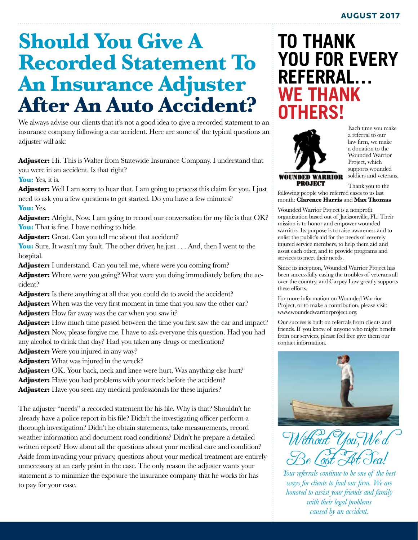# **Should You Give A Recorded Statement To An Insurance Adjuster After An Auto Accident?**

We always advise our clients that it's not a good idea to give a recorded statement to an insurance company following a car accident. Here are some of the typical questions an adjuster will ask:

**Adjuster:** Hi. This is Walter from Statewide Insurance Company. I understand that you were in an accident. Is that right?

You: Yes, it is.

Adjuster: Well I am sorry to hear that. I am going to process this claim for you. I just need to ask you a few questions to get started. Do you have a few minutes? You: Yes.

Adjuster: Alright, Now, I am going to record our conversation for my file is that OK? You: That is fine. I have nothing to hide.

Adjuster: Great. Can you tell me about that accident?

**You:** Sure. It wasn't my fault. The other driver, he just . . . And, then I went to the hospital.

**Adjuster:** I understand. Can you tell me, where were you coming from? **Adjuster:** Where were you going? What were you doing immediately before the accident?

Adjuster: Is there anything at all that you could do to avoid the accident? Adjuster: When was the very first moment in time that you saw the other car?

**Adjuster:** How far away was the car when you saw it?

**Adjuster:** How much time passed between the time you first saw the car and impact? **Adjuster:** Now, please forgive me. I have to ask everyone this question. Had you had any alcohol to drink that day? Had you taken any drugs or medication?

**Adjuster:** Were you injured in any way?

**Adjuster:** What was injured in the wreck?

Adjuster: OK. Your back, neck and knee were hurt. Was anything else hurt? Adjuster: Have you had problems with your neck before the accident? Adjuster: Have you seen any medical professionals for these injuries?

The adjuster "needs" a recorded statement for his file. Why is that? Shouldn't he already have a police report in his file? Didn't the investigating officer perform a thorough investigation? Didn't he obtain statements, take measurements, record weather information and document road conditions? Didn't he prepare a detailed written report? How about all the questions about your medical care and condition? Aside from invading your privacy, questions about your medical treatment are entirely unnecessary at an early point in the case. The only reason the adjuster wants your statement is to minimize the exposure the insurance company that he works for has to pay for your case.

## **TO THANK YOU FOR EVERY REFERRAL… WE THANK OTHERS!**



Each time you make a referral to our law firm, we make a donation to the Wounded Warrior Project, which supports wounded soldiers and veterans.

Thank you to the

following people who referred cases to us last month: **Clarence Harris** and **Max Thomas**

Wounded Warrior Project is a nonprofit organization based out of Jacksonville, FL. Their mission is to honor and empower wounded warriors. Its purpose is to raise awareness and to enlist the public's aid for the needs of severely injured service members, to help them aid and assist each other, and to provide programs and services to meet their needs.

Since its inception, Wounded Warrior Project has been successfully easing the troubles of veterans all over the country, and Carpey Law greatly supports these efforts.

For more information on Wounded Warrior Project, or to make a contribution, please visit: www.woundedwarriorproject.org.

Our success is built on referrals from clients and friends. If you know of anyone who might benefit from our services, please feel free give them our contact information.



Without You, We'd Be Lost At Sea!

*Your referrals continue to be one of the best ways for clients to find our firm. We are honored to assist your friends and family with their legal problems caused by an accident.*